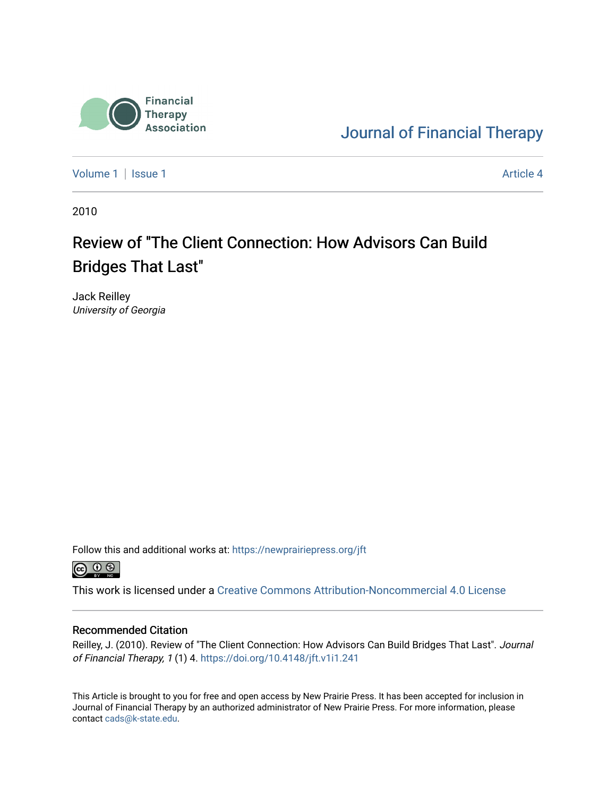

[Journal of Financial Therapy](https://newprairiepress.org/jft) 

[Volume 1](https://newprairiepress.org/jft/vol1) | [Issue 1](https://newprairiepress.org/jft/vol1/iss1) Article 4

2010

### Review of "The Client Connection: How Advisors Can Build Bridges That Last"

Jack Reilley University of Georgia

Follow this and additional works at: [https://newprairiepress.org/jft](https://newprairiepress.org/jft?utm_source=newprairiepress.org%2Fjft%2Fvol1%2Fiss1%2F4&utm_medium=PDF&utm_campaign=PDFCoverPages)



This work is licensed under a [Creative Commons Attribution-Noncommercial 4.0 License](https://creativecommons.org/licenses/by-nc/4.0/)

#### Recommended Citation

Reilley, J. (2010). Review of "The Client Connection: How Advisors Can Build Bridges That Last". Journal of Financial Therapy, 1 (1) 4.<https://doi.org/10.4148/jft.v1i1.241>

This Article is brought to you for free and open access by New Prairie Press. It has been accepted for inclusion in Journal of Financial Therapy by an authorized administrator of New Prairie Press. For more information, please contact [cads@k-state.edu](mailto:cads@k-state.edu).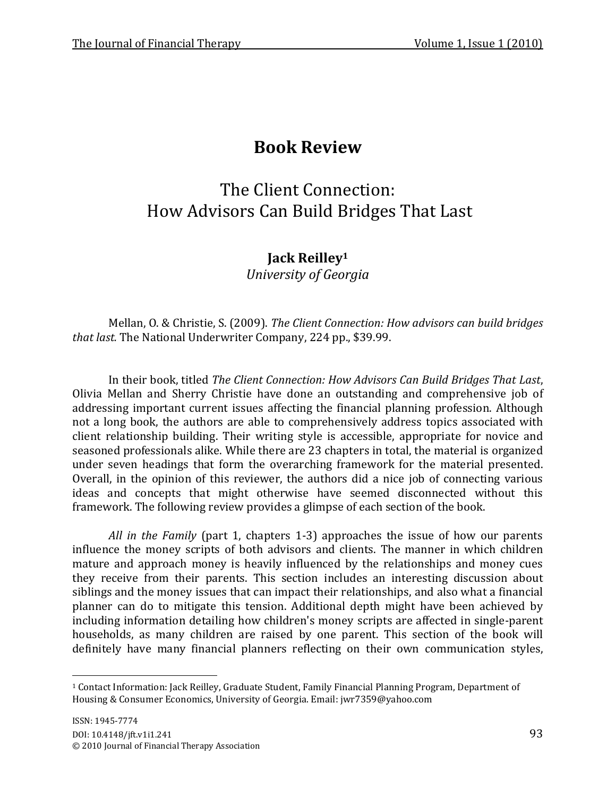## **Book Review**

# The Client Connection: How Advisors Can Build Bridges That Last

### **Jack Reilley<sup>1</sup>**

*University of Georgia*

Mellan, O. & Christie, S. (2009). *The Client Connection: How advisors can build bridges that last.* The National Underwriter Company, 224 pp., \$39.99.

In their book, titled *The Client Connection: How Advisors Can Build Bridges That Last*, Olivia Mellan and Sherry Christie have done an outstanding and comprehensive job of addressing important current issues affecting the financial planning profession. Although not a long book, the authors are able to comprehensively address topics associated with client relationship building. Their writing style is accessible, appropriate for novice and seasoned professionals alike. While there are 23 chapters in total, the material is organized under seven headings that form the overarching framework for the material presented. Overall, in the opinion of this reviewer, the authors did a nice job of connecting various ideas and concepts that might otherwise have seemed disconnected without this framework. The following review provides a glimpse of each section of the book.

*All in the Family* (part 1, chapters 1-3) approaches the issue of how our parents influence the money scripts of both advisors and clients. The manner in which children mature and approach money is heavily influenced by the relationships and money cues they receive from their parents. This section includes an interesting discussion about siblings and the money issues that can impact their relationships, and also what a financial planner can do to mitigate this tension. Additional depth might have been achieved by including information detailing how children's money scripts are affected in single-parent households, as many children are raised by one parent. This section of the book will definitely have many financial planners reflecting on their own communication styles,

 $\overline{a}$ 

<sup>1</sup> Contact Information: Jack Reilley, Graduate Student, Family Financial Planning Program, Department of Housing & Consumer Economics, University of Georgia. Email: jwr7359@yahoo.com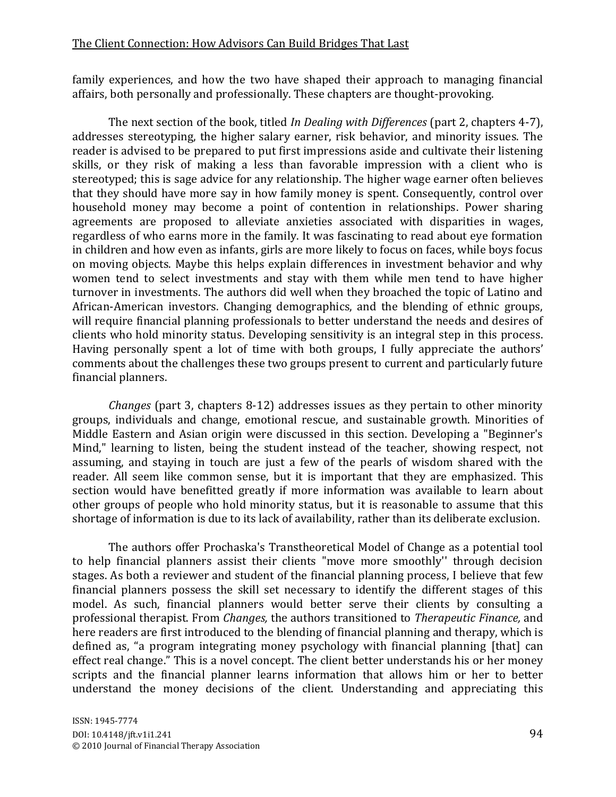#### The Client Connection: How Advisors Can Build Bridges That Last

family experiences, and how the two have shaped their approach to managing financial affairs, both personally and professionally. These chapters are thought-provoking.

The next section of the book, titled *In Dealing with Differences* (part 2, chapters 4-7), addresses stereotyping, the higher salary earner, risk behavior, and minority issues. The reader is advised to be prepared to put first impressions aside and cultivate their listening skills, or they risk of making a less than favorable impression with a client who is stereotyped; this is sage advice for any relationship. The higher wage earner often believes that they should have more say in how family money is spent. Consequently, control over household money may become a point of contention in relationships. Power sharing agreements are proposed to alleviate anxieties associated with disparities in wages, regardless of who earns more in the family. It was fascinating to read about eye formation in children and how even as infants, girls are more likely to focus on faces, while boys focus on moving objects. Maybe this helps explain differences in investment behavior and why women tend to select investments and stay with them while men tend to have higher turnover in investments. The authors did well when they broached the topic of Latino and African-American investors. Changing demographics, and the blending of ethnic groups, will require financial planning professionals to better understand the needs and desires of clients who hold minority status. Developing sensitivity is an integral step in this process. Having personally spent a lot of time with both groups, I fully appreciate the authors' comments about the challenges these two groups present to current and particularly future financial planners.

*Changes* (part 3, chapters 8-12) addresses issues as they pertain to other minority groups, individuals and change, emotional rescue, and sustainable growth. Minorities of Middle Eastern and Asian origin were discussed in this section. Developing a "Beginner's Mind," learning to listen, being the student instead of the teacher, showing respect, not assuming, and staying in touch are just a few of the pearls of wisdom shared with the reader. All seem like common sense, but it is important that they are emphasized. This section would have benefitted greatly if more information was available to learn about other groups of people who hold minority status, but it is reasonable to assume that this shortage of information is due to its lack of availability, rather than its deliberate exclusion.

The authors offer Prochaska's Transtheoretical Model of Change as a potential tool to help financial planners assist their clients "move more smoothly'' through decision stages. As both a reviewer and student of the financial planning process, I believe that few financial planners possess the skill set necessary to identify the different stages of this model. As such, financial planners would better serve their clients by consulting a professional therapist. From *Changes,* the authors transitioned to *Therapeutic Finance,* and here readers are first introduced to the blending of financial planning and therapy, which is defined as, "a program integrating money psychology with financial planning [that] can effect real change." This is a novel concept. The client better understands his or her money scripts and the financial planner learns information that allows him or her to better understand the money decisions of the client. Understanding and appreciating this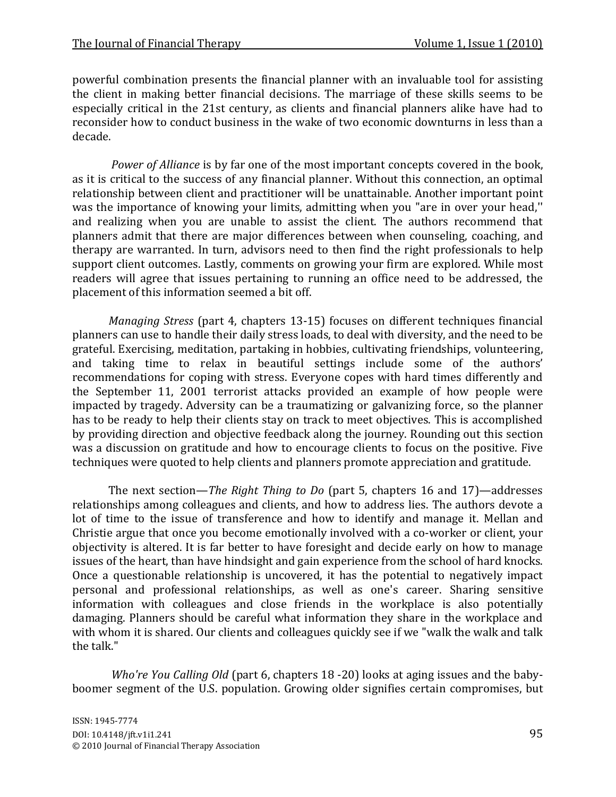powerful combination presents the financial planner with an invaluable tool for assisting the client in making better financial decisions. The marriage of these skills seems to be especially critical in the 21st century, as clients and financial planners alike have had to reconsider how to conduct business in the wake of two economic downturns in less than a decade.

*Power of Alliance* is by far one of the most important concepts covered in the book, as it is critical to the success of any financial planner. Without this connection, an optimal relationship between client and practitioner will be unattainable. Another important point was the importance of knowing your limits, admitting when you "are in over your head,'' and realizing when you are unable to assist the client. The authors recommend that planners admit that there are major differences between when counseling, coaching, and therapy are warranted. In turn, advisors need to then find the right professionals to help support client outcomes. Lastly, comments on growing your firm are explored. While most readers will agree that issues pertaining to running an office need to be addressed, the placement of this information seemed a bit off.

*Managing Stress* (part 4, chapters 13-15) focuses on different techniques financial planners can use to handle their daily stress loads, to deal with diversity, and the need to be grateful. Exercising, meditation, partaking in hobbies, cultivating friendships, volunteering, and taking time to relax in beautiful settings include some of the authors' recommendations for coping with stress. Everyone copes with hard times differently and the September 11, 2001 terrorist attacks provided an example of how people were impacted by tragedy. Adversity can be a traumatizing or galvanizing force, so the planner has to be ready to help their clients stay on track to meet objectives. This is accomplished by providing direction and objective feedback along the journey. Rounding out this section was a discussion on gratitude and how to encourage clients to focus on the positive. Five techniques were quoted to help clients and planners promote appreciation and gratitude.

The next section—*The Right Thing to Do* (part 5, chapters 16 and 17)—addresses relationships among colleagues and clients, and how to address lies. The authors devote a lot of time to the issue of transference and how to identify and manage it. Mellan and Christie argue that once you become emotionally involved with a co-worker or client, your objectivity is altered. It is far better to have foresight and decide early on how to manage issues of the heart, than have hindsight and gain experience from the school of hard knocks. Once a questionable relationship is uncovered, it has the potential to negatively impact personal and professional relationships, as well as one's career. Sharing sensitive information with colleagues and close friends in the workplace is also potentially damaging. Planners should be careful what information they share in the workplace and with whom it is shared. Our clients and colleagues quickly see if we "walk the walk and talk the talk."

*Who're You Calling Old* (part 6, chapters 18 -20) looks at aging issues and the babyboomer segment of the U.S. population. Growing older signifies certain compromises, but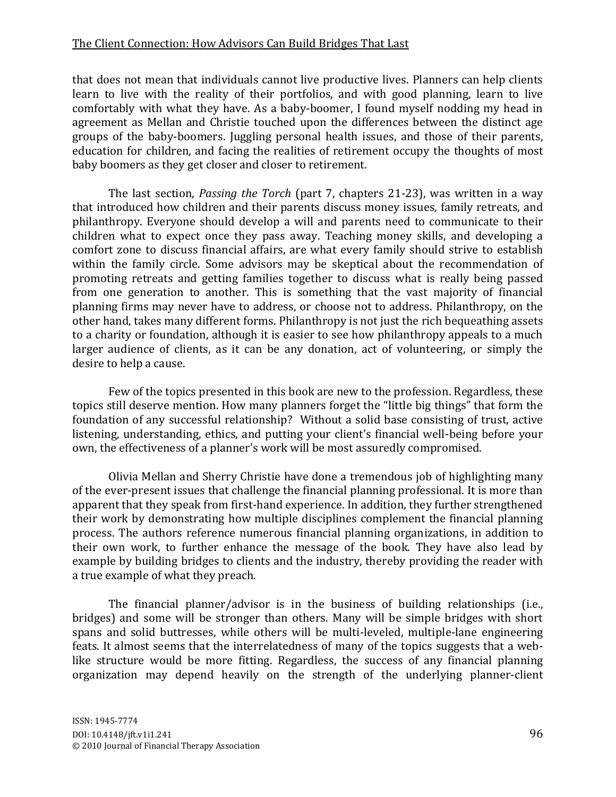#### The Client Connection: How Advisors Can Build Bridges That Last

that does not mean that individuals cannot live productive lives. Planners can help clients learn to live with the reality of their portfolios, and with good planning, learn to live comfortably with what they have. As a baby-boomer, I found myself nodding my head in agreement as Mellan and Christie touched upon the differences between the distinct age groups of the baby-boomers. Juggling personal health issues, and those of their parents, education for children, and facing the realities of retirement occupy the thoughts of most baby boomers as they get closer and closer to retirement.

The last section, *Passing the Torch* (part 7, chapters 21-23), was written in a way that introduced how children and their parents discuss money issues, family retreats, and philanthropy. Everyone should develop a will and parents need to communicate to their children what to expect once they pass away. Teaching money skills, and developing a comfort zone to discuss financial affairs, are what every family should strive to establish within the family circle. Some advisors may be skeptical about the recommendation of promoting retreats and getting families together to discuss what is really being passed from one generation to another. This is something that the vast majority of financial planning firms may never have to address, or choose not to address. Philanthropy, on the other hand, takes many different forms. Philanthropy is not just the rich bequeathing assets to a charity or foundation, although it is easier to see how philanthropy appeals to a much larger audience of clients, as it can be any donation, act of volunteering, or simply the desire to help a cause.

Few of the topics presented in this book are new to the profession. Regardless, these topics still deserve mention. How many planners forget the "little big things" that form the foundation of any successful relationship? Without a solid base consisting of trust, active listening, understanding, ethics, and putting your client's financial well-being before your own, the effectiveness of a planner's work will be most assuredly compromised.

Olivia Mellan and Sherry Christie have done a tremendous job of highlighting many of the ever-present issues that challenge the financial planning professional. It is more than apparent that they speak from first-hand experience. In addition, they further strengthened their work by demonstrating how multiple disciplines complement the financial planning process. The authors reference numerous financial planning organizations, in addition to their own work, to further enhance the message of the book. They have also lead by example by building bridges to clients and the industry, thereby providing the reader with a true example of what they preach.

The financial planner/advisor is in the business of building relationships (i.e., bridges) and some will be stronger than others. Many will be simple bridges with short spans and solid buttresses, while others will be multi-leveled, multiple-lane engineering feats. It almost seems that the interrelatedness of many of the topics suggests that a weblike structure would be more fitting. Regardless, the success of any financial planning organization may depend heavily on the strength of the underlying planner-client